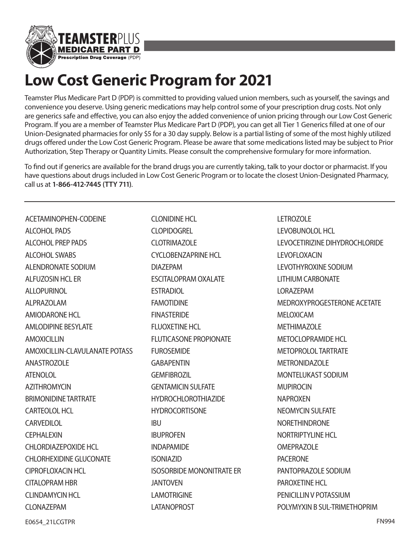

## **Low Cost Generic Program for 2021**

Teamster Plus Medicare Part D (PDP) is committed to providing valued union members, such as yourself, the savings and convenience you deserve. Using generic medications may help control some of your prescription drug costs. Not only are generics safe and effective, you can also enjoy the added convenience of union pricing through our Low Cost Generic Program. If you are a member of Teamster Plus Medicare Part D (PDP), you can get all Tier 1 Generics filled at one of our Union-Designated pharmacies for only \$5 for a 30 day supply. Below is a partial listing of some of the most highly utilized drugs offered under the Low Cost Generic Program. Please be aware that some medications listed may be subject to Prior Authorization, Step Therapy or Quantity Limits. Please consult the comprehensive formulary for more information.

To find out if generics are available for the brand drugs you are currently taking, talk to your doctor or pharmacist. If you have questions about drugs included in Low Cost Generic Program or to locate the closest Union-Designated Pharmacy, call us at **1-866-412-7445 (TTY 711)**.

ACETAMINOPHEN-CODEINE ALCOHOL PADS ALCOHOL PREP PADS ALCOHOL SWABS ALENDRONATE SODIUM ALFUZOSIN HCL ER ALLOPURINOL ALPRAZOLAM AMIODARONE HCL AMLODIPINE BESYLATE AMOXICILLIN AMOXICILLIN-CLAVULANATE POTASS ANASTROZOLE ATENOLOL AZITHROMYCIN BRIMONIDINE TARTRATE CARTEOLOL HCL **CARVEDILOL CEPHALEXIN** CHLORDIAZEPOXIDE HCL CHLORHEXIDINE GLUCONATE CIPROFLOXACIN HCL CITALOPRAM HBR CLINDAMYCIN HCL CLONAZEPAM

CLONIDINE HCL **CLOPIDOGREL** CLOTRIMAZOLE CYCLOBENZAPRINE HCL DIAZEPAM ESCITALOPRAM OXALATE ESTRADIOL FAMOTIDINE FINASTERIDE FLUOXETINE HCL FLUTICASONE PROPIONATE FUROSEMIDE **GABAPENTIN** GEMFIBROZIL GENTAMICIN SULFATE HYDROCHLOROTHIAZIDE **HYDROCORTISONE** IBU **IBUPROFEN** INDAPAMIDE ISONIAZID ISOSORBIDE MONONITRATE ER JANTOVEN LAMOTRIGINE LATANOPROST

LETROZOLE LEVOBUNOLOL HCL LEVOCETIRIZINE DIHYDROCHLORIDE LEVOFLOXACIN LEVOTHYROXINE SODIUM LITHIUM CARBONATE LORAZEPAM MEDROXYPROGESTERONE ACETATE MELOXICAM MFTHIMAZOI F METOCLOPRAMIDE HCL METOPROLOL TARTRATE METRONIDAZOLE MONTELUKAST SODIUM MUPIROCIN NAPROXEN NEOMYCIN SULFATE NORETHINDRONE NORTRIPTYLINE HCL **OMEPRAZOLE** PACERONE PANTOPRAZOLE SODIUM PAROXETINE HCL PENICILLIN V POTASSIUM POLYMYXIN B SUL-TRIMETHOPRIM

E0654\_21LCGTPR